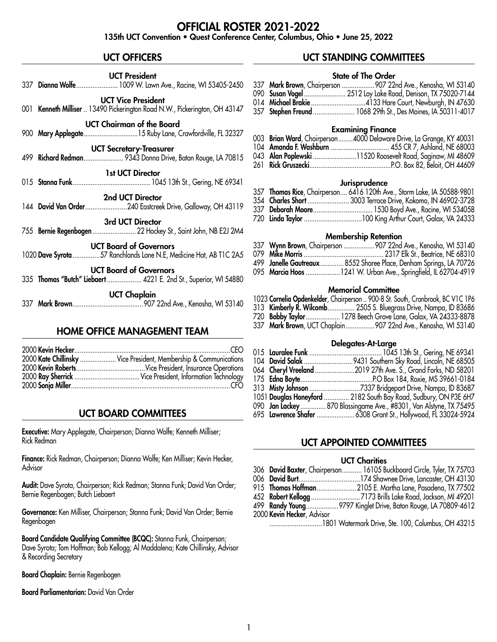# OFFICIAL ROSTER 2021-2022

135th UCT Convention • Quest Conference Center, Columbus, Ohio • June 25, 2022

# UCT OFFICERS

|                                                                                                    | <b>UCT President</b><br>337 Dianna Wolfe  1009 W. Lawn Ave., Racine, WI 53405-2450                      |  |  |  |
|----------------------------------------------------------------------------------------------------|---------------------------------------------------------------------------------------------------------|--|--|--|
|                                                                                                    | <b>UCT Vice President</b><br>001 Kenneth Milliser  13490 Pickerington Road N.W., Pickerington, OH 43147 |  |  |  |
|                                                                                                    | <b>UCT Chairman of the Board</b>                                                                        |  |  |  |
|                                                                                                    | <b>UCT Secretary-Treasurer</b><br>499 Richard Redman 9343 Donna Drive, Baton Rouge, LA 70815            |  |  |  |
|                                                                                                    | <b>1st UCT Director</b>                                                                                 |  |  |  |
|                                                                                                    | 2nd UCT Director<br>144 David Van Order240 Eastcreek Drive, Galloway, OH 43119                          |  |  |  |
|                                                                                                    | 3rd UCT Director<br>755 Bernie Regenbogen  22 Hockey St., Saint John, NB E2J 2M4                        |  |  |  |
| <b>UCT Board of Governors</b><br>1020 Dave Syrota 57 Ranchlands Lane N.E, Medicine Hat, AB T1C 2A5 |                                                                                                         |  |  |  |
|                                                                                                    | <b>UCT Board of Governors</b><br>335 Thomas "Butch" Liebaert  4221 E. 2nd St., Superior, WI 54880       |  |  |  |
|                                                                                                    | <b>UCT Chaplain</b>                                                                                     |  |  |  |
|                                                                                                    | <b>HOME OFFICE MANAGEMENT TEAM</b>                                                                      |  |  |  |

| 2000 Kate Chillinsky  Vice President, Membership & Communications |
|-------------------------------------------------------------------|
|                                                                   |
|                                                                   |
|                                                                   |

# UCT BOARD COMMITTEES

Executive: Mary Applegate, Chairperson; Dianna Wolfe; Kenneth Milliser; Rick Redman

Finance: Rick Redman, Chairperson; Dianna Wolfe; Ken Milliser; Kevin Hecker, Advisor

Audit: Dave Syrota, Chairperson; Rick Redman; Stanna Funk; David Van Order; Bernie Regenbogen; Butch Liebaert

Governance: Ken Milliser, Chairperson; Stanna Funk; David Van Order; Bernie Regenbogen

Board Candidate Qualifying Committee (BCQC): Stanna Funk, Chairperson; Dave Syrota; Tom Hoffman; Bob Kellogg; Al Maddalena; Kate Chillinsky, Advisor & Recording Secretary

Board Chaplain: Bernie Regenbogen

Board Parliamentarian: David Van Order

# UCT STANDING COMMITTEES

# State of The Order

|  | 337 <b>Mark Brown</b> , Chairperson 907 22nd Ave., Kenosha, WI 53140 |
|--|----------------------------------------------------------------------|
|  | 090 Susan Vogel  2512 Loy Lake Road, Denison, TX 75020-7144          |
|  |                                                                      |
|  | 357 Stephen Freund  1068 29th St., Des Moines, IA 50311-4017         |

#### Examining Finance

|  | 003 <b>Brian Ward</b> , Chairperson4000 Delaware Drive, La Grange, KY 40031 |
|--|-----------------------------------------------------------------------------|
|  |                                                                             |
|  | 043 Alan Poplewski 11520 Roosevelt Road, Saginaw, MI 48609                  |
|  |                                                                             |

#### **Jurisprudence**

|  | 357 Thomas Rice, Chairperson 6416 120th Ave., Storm Lake, IA 50588-9801 |
|--|-------------------------------------------------------------------------|
|  | 354 Charles Short  3003 Terrace Drive, Kokomo, IN 46902-3728            |
|  |                                                                         |
|  |                                                                         |

#### Membership Retention

|  | 337 Wynn Brown, Chairperson 907 22nd Ave., Kenosha, WI 53140       |
|--|--------------------------------------------------------------------|
|  |                                                                    |
|  | 499 Janelle Gautreaux  8552 Sharee Place, Denham Springs, LA 70726 |
|  | 095 Marcia Hoos 1241 W. Urban Ave., Springfield, IL 62704-4919     |

# Memorial Committee

| 1023 Cornelia Opdenkelder, Chairperson  900-8 St. South, Cranbrook, BC V1C 1P6 |  |  |  |  |  |
|--------------------------------------------------------------------------------|--|--|--|--|--|
|--------------------------------------------------------------------------------|--|--|--|--|--|

- 313 Kimberly R. Wilcomb............... 2505 S. Bluegrass Drive, Nampa, ID 83686
- 720 Bobby Taylor...................1278 Beech Grove Lane, Galax, VA 24333-8878
- 337 Mark Brown, UCT Chaplain.................907 22nd Ave., Kenosha, WI 53140

#### Delegates-At-Large

|  | 1051 Douglas Honeyford  2182 South Bay Road, Sudbury, ON P3E 6H7   |
|--|--------------------------------------------------------------------|
|  | 090 Jan Lackey  870 Blassingame Ave., #8301, Van Alstyne, TX 75495 |
|  |                                                                    |

# UCT APPOINTED COMMITTEES

# UCT Charities

|                            | 306 David Baxter, Chairperson 16105 Buckboard Circle, Tyler, TX 75703 |
|----------------------------|-----------------------------------------------------------------------|
|                            |                                                                       |
|                            | 915 Thomas Hoffman2105 E. Martha Lane, Pasadena, TX 77502             |
|                            |                                                                       |
|                            |                                                                       |
| 2000 Kevin Hecker, Advisor |                                                                       |
|                            | 1801 Watermark Drive, Ste. 100, Columbus, OH 43215                    |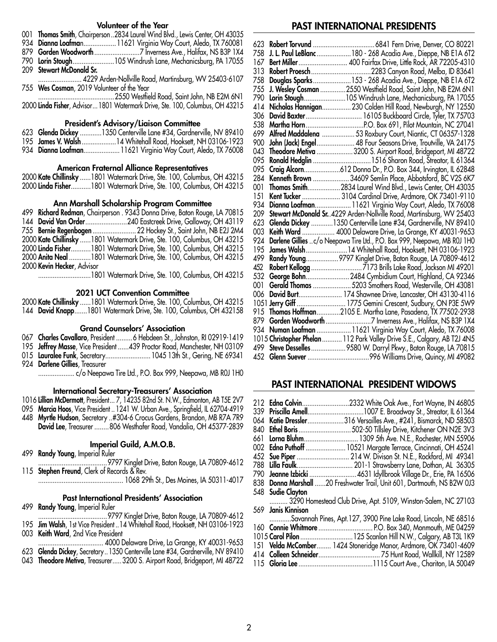#### Volunteer of the Year

- Thomas Smith, Chairperson..2834 Laurel Wind Blvd., Lewis Center, OH 43035
- 934 Dianna Loafman.....................11621 Virginia Way Court, Aledo, TX 760081
- Gorden Woodworth.........................7 Inverness Ave., Halifax, NS B3P 1X4
- Lorin Stough.......................105 Windrush Lane, Mechanicsburg, PA 17055
- Stewart McDonald Sr.
- ........................ 4229 Arden-Nollville Road, Martinsburg, WV 25403-6107 Wes Cosman, 2019 Volunteer of the Year

..........................................2550 Westfield Road, Saint John, NB E2M 6N1 Linda Fisher, Advisor...1801 Watermark Drive, Ste. 100, Columbus, OH 43215

#### President's Advisory/Liaison Committee

- Glenda Dickey ............1350 Centerville Lane #34, Gardnerville, NV 89410
- James V. Walsh...................14 Whitehall Road, Hooksett, NH 03106-1923
- 934 Dianna Loafman........................11621 Virginia Way Court, Aledo, TX 76008

#### American Fraternal Alliance Representatives

| 2000 Kate Chillinsky 1801 Watermark Drive, Ste. 100, Columbus, OH 43215 |  |  |
|-------------------------------------------------------------------------|--|--|
| 2000 Linda Fisher1801 Watermark Drive, Ste. 100, Columbus, OH 43215     |  |  |

#### Ann Marshall Scholarship Program Committee

|                            | 499 Richard Redman, Chairperson. 9343 Donna Drive, Baton Rouge, LA 70815 |
|----------------------------|--------------------------------------------------------------------------|
|                            |                                                                          |
|                            | 755 Bernie Regenbogen  22 Hockey St., Saint John, NB E2J 2M4             |
|                            | 2000 Kate Chillinsky 1801 Watermark Drive, Ste. 100, Columbus, OH 43215  |
|                            | 2000 Linda Fisher1801 Watermark Drive, Ste. 100, Columbus, OH 43215      |
|                            | 2000 Anita Neal 1801 Watermark Drive, Ste. 100, Columbus, OH 43215       |
| 2000 Kevin Hecker, Advisor |                                                                          |
|                            |                                                                          |

.............................1801 Watermark Drive, Ste. 100, Columbus, OH 43215

#### 2021 UCT Convention Committee

 Kate Chillinsky ......1801 Watermark Drive, Ste. 100, Columbus, OH 43215 David Knapp.......1801 Watermark Drive, Ste. 100, Columbus, OH 432158

#### Grand Counselors' Association

- 067 Charles Cavallaro, President ......... 6 Hebdeen St., Johnston, RI 02919-1419
- 195 Jeffrey Masse, Vice President ...... 439 Proctor Road, Manchester, NH 03109
- 015 Lauralee Funk, Secretary......................... 1045 13th St., Gering, NE 69341
- 924 Darlene Gillies, Treasurer

.................... c/o Neepawa Tire Ltd., P.O. Box 999, Neepawa, MB R0J 1H0

#### International Secretary-Treasurers' Association

Lillian McDermott, President... 7, 14235 82nd St. N.W., Edmonton, AB T5E 2V7

- Marcia Hoos, Vice President .. 1241 W. Urban Ave., Springfield, IL 62704-4919
- Myrtle Hudson, Secretary ..#304-6 Crocus Gardens, Brandon, MB R7A 7R9
	- David Lee, Treasurer ........806 Westhafer Road, Vandalia, OH 45377-2839

### Imperial Guild, A.M.O.B.

- Randy Young, Imperial Ruler
- ......................................9797 Kinglet Drive, Baton Rouge, LA 70809-4612 **Stephen Freund**, Clerk of Records & Rev.
	- ............................................... 1068 29th St., Des Moines, IA 50311-4017

### Past International Presidents' Association

- Randy Young, Imperial Ruler
- ......................................9797 Kinglet Drive, Baton Rouge, LA 70809-4612
- Jim Walsh, 1st Vice President ..14 Whitehall Road, Hooksett, NH 03106-1923
- Keith Ward, 2nd Vice President
- .................................... 4000 Delaware Drive, La Grange, KY 40031-9653
- Glenda Dickey, Secretary ..1350 Centerville Lane #34, Gardnerville, NV 89410
- 043 Theodore Metiva, Treasurer..... 3200 S. Airport Road, Bridgeport, MI 48722

## PAST INTERNATIONAL PRESIDENTS

| 623 |                                                                                                                                   |
|-----|-----------------------------------------------------------------------------------------------------------------------------------|
| 758 | J. L. Paul LeBlanc  180 - 268 Acadia Ave., Dieppe, NB E1A 6T2                                                                     |
| 167 | Bert Miller  400 Fairfax Drive, Little Rock, AR 72205-4310                                                                        |
| 313 |                                                                                                                                   |
| 758 | Douglas Sparks153 - 268 Acadia Ave., Dieppe, NB E1A 6T2                                                                           |
| 755 | J. Wesley Cosman  2550 Westfield Road, Saint John, NB E2M 6N1                                                                     |
| 790 | Lorin Stough105 Windrush Lane, Mechanicsburg, PA 17055                                                                            |
| 414 | Nicholas Hannigan 230 Colden Hill Road, Newburgh, NY 12550                                                                        |
| 306 | David Baxter 16105 Buckboard Circle, Tyler, TX 75703                                                                              |
| 538 |                                                                                                                                   |
| 699 | Alfred Maddalena  53 Roxbury Court, Niantic, CT 06357-1328                                                                        |
| 900 | John (Jack) Engel 48 Four Seasons Drive, Troutville, VA 24175                                                                     |
| 043 | Theodore Metiva 3200 S. Airport Road, Bridgeport, MI 48722                                                                        |
| 095 |                                                                                                                                   |
| 095 |                                                                                                                                   |
| 284 | Kenneth Brown  34609 Semlin Place, Abbotsford, BC V2S 6K7                                                                         |
| 001 | Thomas Smith2834 Laurel Wind Blvd., Lewis Center, OH 43035                                                                        |
| 151 | Kent Tucker  3104 Cardinal Drive, Ardmore, OK 73401-9110                                                                          |
| 934 | Dianna Loafman 11621 Virginia Way Court, Aledo, TX 76008                                                                          |
| 209 | Stewart McDonald Sr. 4229 Arden-Nollville Road, Martinsburg, WV 25403                                                             |
| 623 | Glenda Dickey 1350 Centerville Lane #34, Gardnerville, NV 89410                                                                   |
| 003 | Keith Ward  4000 Delaware Drive, La Grange, KY 40031-9653                                                                         |
| 924 | Darlene Gillies c/o Neepawa Tire Ltd., P.O. Box 999, Neepawa, MB ROJ 1HO<br>James Walsh14 Whitehall Road, Hooksett, NH 03106-1923 |
| 195 |                                                                                                                                   |
| 499 | Randy Young 9797 Kinglet Drive, Baton Rouge, LA 70809-4612                                                                        |
| 452 |                                                                                                                                   |
| 532 | George Bohn 2484 Cymbidium Court, Highland, CA 92346                                                                              |
| 001 | Gerald Thomas 5203 Smothers Road, Westerville, OH 43081                                                                           |
| 006 | David Burt 174 Shawnee Drive, Lancaster, OH 43130-4116                                                                            |
|     | 1051 Jerry Giff  1775 Gemini Crescent, Sudbury, ON P3E 5W9                                                                        |
| 915 | Thomas Hoffman2105 E. Martha Lane, Pasadena, TX 77502-2938                                                                        |
|     |                                                                                                                                   |
|     | 934 Numan Loafman  11621 Virginia Way Court, Aledo, TX 76008                                                                      |
|     | 1015 Christopher Phelan  112 Park Valley Drive S.E., Calgary, AB T2J 4N5                                                          |
|     | 499 Steve Desselles  9580 W. Darryl Pkwy., Baton Rouge, LA 70815                                                                  |
|     |                                                                                                                                   |

# PAST INTERNATIONAL PRESIDENT WIDOWS

|     | 212 <b>Edna Colvin</b><br>064 Katie Dressler | 2332 White Oak Ave., Fort Wayne, IN 46805.<br>339 Priscilla Amell1007 E. Broadway St., Streator, IL 61364<br>.316 Versailles Ave., #241, Bismarck, ND 58503 |
|-----|----------------------------------------------|-------------------------------------------------------------------------------------------------------------------------------------------------------------|
| 840 | Ethel Boris                                  | 502-50 Tillsley Drive, Kitchener ON N2E 3V3                                                                                                                 |
| 661 | Lorna Bluhm.                                 | 1309 5th Ave. N.E., Rochester, MN 55906                                                                                                                     |
|     |                                              | 002 <b>Edna Puthoff</b> 10521 Margate Terrace, Cincinnati, OH 45241                                                                                         |
|     |                                              | 452 Sue Piper  214 W. Divison St. N.E., Rockford, MI 49341                                                                                                  |
|     |                                              | 788 <b>Lilla Faulk</b> 201-1 Strawsberry Lane, Dothan, AL 36305                                                                                             |
|     |                                              | 790 <b>Jeanne Izbicki</b> 4631 Idyllbrook Village Dr., Erie, PA 16506                                                                                       |
|     |                                              | 838 Donna Marshall 20 Freshwater Trail, Unit 601, Dartmouth, NS B2W 0J3                                                                                     |
|     | 548 Sudie Clayton                            |                                                                                                                                                             |
|     |                                              | 3290 Homestead Club Drive, Apt. 5109, Winston-Salem, NC 27103                                                                                               |
|     | 569 - Janis Kinnison                         |                                                                                                                                                             |
|     |                                              | Savannah Pines, Apt.127, 3900 Pine Lake Road, Lincoln, NE 68516                                                                                             |
|     |                                              |                                                                                                                                                             |
|     |                                              | 1015 Carol Pilon  125 Scanlon Hill N.W., Calgary, AB T3L 1K9                                                                                                |
|     |                                              | 151 Velda McComber 1424 Stoneridge Manor, Ardmore, OK 73401-4609                                                                                            |
|     |                                              |                                                                                                                                                             |
|     |                                              |                                                                                                                                                             |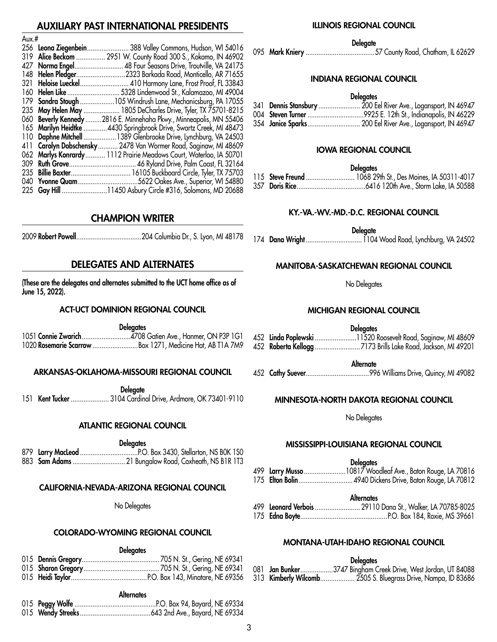# IXILIARY PAST INTERNATIONAL PRESIDENTS

| AUX.# |                      |                                                                     |
|-------|----------------------|---------------------------------------------------------------------|
|       | 256 Leona Ziegenbein | 388 Valley Commons, Hudson, WI 54016                                |
|       |                      | 319 Alice Beckom  2951 W. County Road 300 S., Kokomo, IN 46902      |
|       | 427 Norma Engel      | 48 Four Seasons Drive, Troutville, VA 24175                         |
|       |                      | 148 Helen Pledger2323 Barkada Road, Monticello, AR 71655            |
| 321   |                      |                                                                     |
|       |                      |                                                                     |
|       |                      | 179 Sandra Stough 105 Windrush Lane, Mechanicsburg, PA 17055        |
|       |                      | 235 May Helen May  1805 DeCharles Drive, Tyler, TX 75701-8215       |
|       |                      | 060 Beverly Kennedy 2816 E. Minnehaha Pkwy., Minneapolis, MN 55406  |
|       |                      | 165 Marilyn Heidtke 4430 Springbrook Drive, Swartz Creek, MI 48473  |
|       |                      | 110 Daphne Mitchell  1389 Glenbrooke Drive, Lynchburg, VA 24503     |
|       |                      | 411 Carolyn Dobschensky  2478 Van Wormer Road, Saginaw, MI 48609    |
|       |                      | 062 Marlys Konrardy  1112 Prairie Meadows Court, Waterloo, IA 50701 |
| 309   |                      |                                                                     |
| 235   |                      |                                                                     |
|       |                      |                                                                     |
|       |                      |                                                                     |

# CHAMPION WRITER

 $\lambda$ ....  $\mu$ 

2009 Robert Powell....................................204 Columbia Dr., S. Lyon, MI 48178

# DELEGATES AND ALTERNATES

(These are the delegates and alternates submitted to the UCT home office as of June 15, 2022).

## ACT-UCT DOMINION REGIONAL COUNCIL

|                                                            | <b>Delegates</b> |  |
|------------------------------------------------------------|------------------|--|
|                                                            |                  |  |
| 1020 Rosemarie Scarrow  Box 1271, Medicine Hat, AB T1A 7M9 |                  |  |

### ARKANSAS-OKLAHOMA-MISSOURI REGIONAL COUNCIL

**Delegate** 

151 Kent Tucker ..................... 3104 Cardinal Drive, Ardmore, OK 73401-9110

# ATLANTIC REGIONAL COUNCIL

**Delegates** 

|  | 883 Sam Adams  21 Bungalow Road, Coxheath, NS B1R 1T3 |  |
|--|-------------------------------------------------------|--|

# CALIFORNIA-NEVADA-ARIZONA REGIONAL COUNCIL

No Delegates

# COLORADO-WYOMING REGIONAL COUNCIL

## **Delegates**

### **Alternates**

## ILLINOIS REGIONAL COUNCIL

**Delegate** 

095 Mark Kniery ......................................57 County Road, Chatham, IL 62629

### INDIANA REGIONAL COUNCIL

#### **Delegates**

|  | 341 Dennis Stansbury  200 Eel River Ave., Logansport, IN 46947 |
|--|----------------------------------------------------------------|
|  | 004 Steven Turner 9925 E. 12th St., Indianapolis, IN 46229     |
|  | 354 Janice Sparks 200 Eel River Ave., Logansport, IN 46947     |

### IOWA REGIONAL COUNCIL

**Delegates** 

### KY.-VA.-WV.-MD.-D.C. REGIONAL COUNCIL

Delegate

174 Dana Wright...............................1104 Wood Road, Lynchburg, VA 24502

## MANITOBA-SASKATCHEWAN REGIONAL COUNCIL

No Delegates

## MICHIGAN REGIONAL COUNCIL

**Delegates** 

|  | 452 Linda Poplewski 11520 Roosevelt Road, Saginaw, MI 48609 |
|--|-------------------------------------------------------------|
|  |                                                             |

**Alternate** 

452 Cathy Suever...................................996 Williams Drive, Quincy, MI 49082

### MINNESOTA-NORTH DAKOTA REGIONAL COUNCIL

No Delegates

## MISSISSIPPI-LOUISIANA REGIONAL COUNCIL

|                        | <b>Delegates</b>                                                                                                                                                                                                                                                                                                           |
|------------------------|----------------------------------------------------------------------------------------------------------------------------------------------------------------------------------------------------------------------------------------------------------------------------------------------------------------------------|
|                        | 499 Larry Musso 10817 Woodleaf Ave., Baton Rouge, LA 70816                                                                                                                                                                                                                                                                 |
| $1.75$ el. A l $\cdot$ | $\mathbb{R}^+$ $\mathbb{R}^+$ $\mathbb{R}^ \mathbb{R}^+$ $\mathbb{R}^+$ $\mathbb{R}^+$ $\mathbb{R}^+$ $\mathbb{R}^+$ $\mathbb{R}^+$ $\mathbb{R}^+$ $\mathbb{R}^+$ $\mathbb{R}^+$ $\mathbb{R}^+$ $\mathbb{R}^+$ $\mathbb{R}^+$ $\mathbb{R}^+$ $\mathbb{R}^+$ $\mathbb{R}^+$ $\mathbb{R}^+$ $\mathbb{R}^+$ $\$<br>$\sqrt{2}$ |

175 Elton Bolin..............................4940 Dickens Drive, Baton Rouge, LA 70812

**Alternates** 

499 Leonard Verbois ............................. 29110 Dana St., Walker, LA 70785-8025 175 Edna Boyte................................................P.O. Box 184, Roxie, MS 39661

## MONTANA-UTAH-IDAHO REGIONAL COUNCIL

## **Delegates**

|  | 081 Jan Bunker3747 Bingham Creek Drive, West Jordan, UT 84088 |
|--|---------------------------------------------------------------|
|  | 313 Kimberly Wilcomb 2505 S. Bluegrass Drive, Nampa, ID 83686 |